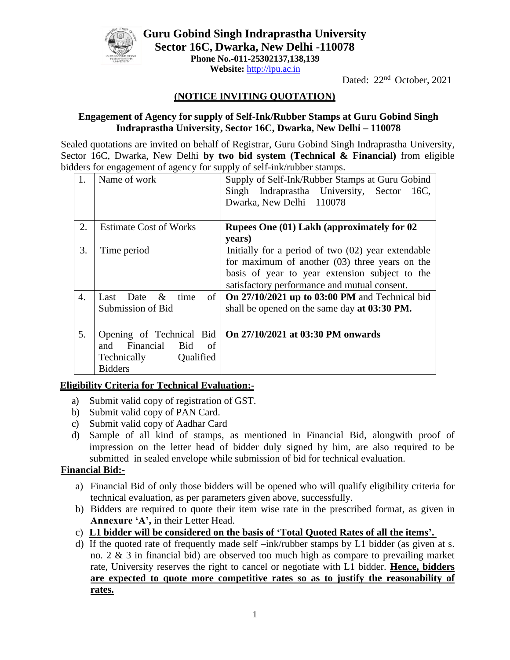

**Guru Gobind Singh Indraprastha University Sector 16C, Dwarka, New Delhi -110078 Phone No.-011-25302137,138,139 Website:** http://ipu.ac.in

Dated: 22<sup>nd</sup> October, 2021

# **(NOTICE INVITING QUOTATION)**

#### **Engagement of Agency for supply of Self-Ink/Rubber Stamps at Guru Gobind Singh Indraprastha University, Sector 16C, Dwarka, New Delhi – 110078**

Sealed quotations are invited on behalf of Registrar, Guru Gobind Singh Indraprastha University, Sector 16C, Dwarka, New Delhi **by two bid system (Technical & Financial)** from eligible bidders for engagement of agency for supply of self-ink/rubber stamps.

| 1.               | Name of work                                                                                            | Supply of Self-Ink/Rubber Stamps at Guru Gobind<br>Singh Indraprastha University, Sector<br>16C,<br>Dwarka, New Delhi - 110078                                                                             |  |  |
|------------------|---------------------------------------------------------------------------------------------------------|------------------------------------------------------------------------------------------------------------------------------------------------------------------------------------------------------------|--|--|
| 2.               | <b>Estimate Cost of Works</b>                                                                           | Rupees One (01) Lakh (approximately for 02<br>years)                                                                                                                                                       |  |  |
| 3.               | Time period                                                                                             | Initially for a period of two $(02)$ year extendable<br>for maximum of another $(03)$ three years on the<br>basis of year to year extension subject to the<br>satisfactory performance and mutual consent. |  |  |
| $\overline{4}$ . | of<br>Last<br>Date<br>&<br>time<br>Submission of Bid                                                    | On 27/10/2021 up to 03:00 PM and Technical bid<br>shall be opened on the same day at 03:30 PM.                                                                                                             |  |  |
| 5.               | Opening of Technical Bid<br>Financial<br>Bid<br>and<br>of<br>Qualified<br>Technically<br><b>Bidders</b> | On 27/10/2021 at 03:30 PM onwards                                                                                                                                                                          |  |  |

### **Eligibility Criteria for Technical Evaluation:-**

- a) Submit valid copy of registration of GST.
- b) Submit valid copy of PAN Card.
- c) Submit valid copy of Aadhar Card
- d) Sample of all kind of stamps, as mentioned in Financial Bid, alongwith proof of impression on the letter head of bidder duly signed by him, are also required to be submitted in sealed envelope while submission of bid for technical evaluation.

### **Financial Bid:-**

- a) Financial Bid of only those bidders will be opened who will qualify eligibility criteria for technical evaluation, as per parameters given above, successfully.
- b) Bidders are required to quote their item wise rate in the prescribed format, as given in **Annexure 'A',** in their Letter Head.
- c) **L1 bidder will be considered on the basis of 'Total Quoted Rates of all the items'.**
- d) If the quoted rate of frequently made self –ink/rubber stamps by L1 bidder (as given at s. no. 2 & 3 in financial bid) are observed too much high as compare to prevailing market rate, University reserves the right to cancel or negotiate with L1 bidder. **Hence, bidders are expected to quote more competitive rates so as to justify the reasonability of rates.**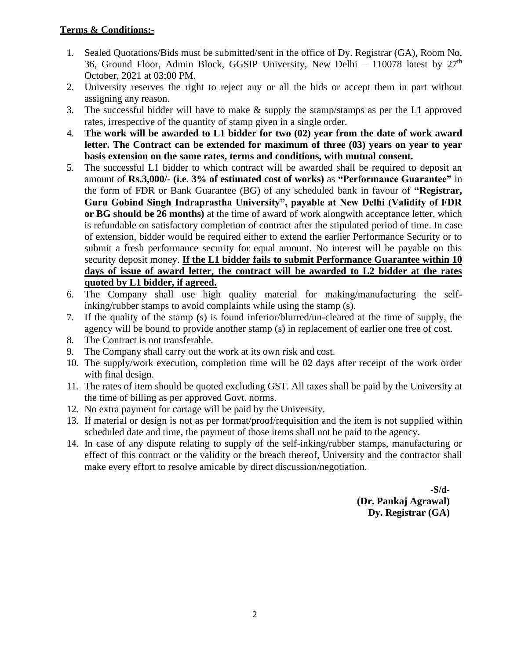## **Terms & Conditions:-**

- 1. Sealed Quotations/Bids must be submitted/sent in the office of Dy. Registrar (GA), Room No. 36, Ground Floor, Admin Block, GGSIP University, New Delhi – 110078 latest by  $27<sup>th</sup>$ October, 2021 at 03:00 PM.
- 2. University reserves the right to reject any or all the bids or accept them in part without assigning any reason.
- 3. The successful bidder will have to make & supply the stamp/stamps as per the L1 approved rates, irrespective of the quantity of stamp given in a single order.
- 4. **The work will be awarded to L1 bidder for two (02) year from the date of work award letter. The Contract can be extended for maximum of three (03) years on year to year basis extension on the same rates, terms and conditions, with mutual consent.**
- 5. The successful L1 bidder to which contract will be awarded shall be required to deposit an amount of **Rs.3,000/- (i.e. 3% of estimated cost of works)** as **"Performance Guarantee"** in the form of FDR or Bank Guarantee (BG) of any scheduled bank in favour of **"Registrar, Guru Gobind Singh Indraprastha University", payable at New Delhi (Validity of FDR or BG should be 26 months)** at the time of award of work alongwith acceptance letter, which is refundable on satisfactory completion of contract after the stipulated period of time. In case of extension, bidder would be required either to extend the earlier Performance Security or to submit a fresh performance security for equal amount. No interest will be payable on this security deposit money. **If the L1 bidder fails to submit Performance Guarantee within 10 days of issue of award letter, the contract will be awarded to L2 bidder at the rates quoted by L1 bidder, if agreed.**
- 6. The Company shall use high quality material for making/manufacturing the selfinking/rubber stamps to avoid complaints while using the stamp (s).
- 7. If the quality of the stamp (s) is found inferior/blurred/un-cleared at the time of supply, the agency will be bound to provide another stamp (s) in replacement of earlier one free of cost.
- 8. The Contract is not transferable.
- 9. The Company shall carry out the work at its own risk and cost.
- 10. The supply/work execution, completion time will be 02 days after receipt of the work order with final design.
- 11. The rates of item should be quoted excluding GST. All taxes shall be paid by the University at the time of billing as per approved Govt. norms.
- 12. No extra payment for cartage will be paid by the University.
- 13. If material or design is not as per format/proof/requisition and the item is not supplied within scheduled date and time, the payment of those items shall not be paid to the agency.
- 14. In case of any dispute relating to supply of the self-inking/rubber stamps, manufacturing or effect of this contract or the validity or the breach thereof, University and the contractor shall make every effort to resolve amicable by direct discussion/negotiation.

**-S/d- (Dr. Pankaj Agrawal) Dy. Registrar (GA)**